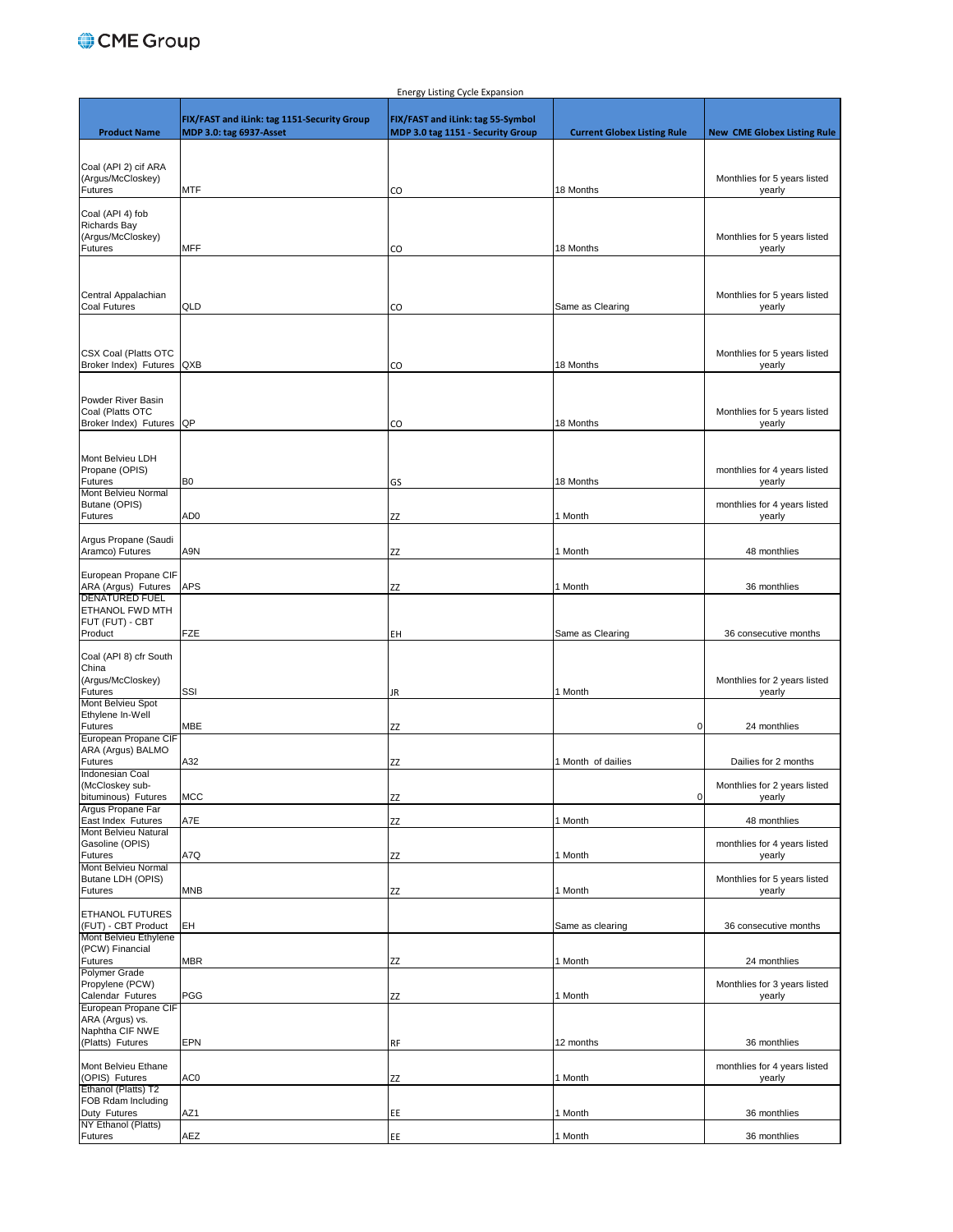## CME Group

|                                         |                                             | <b>Energy Listing Cycle Expansion</b> |                                    |                                        |
|-----------------------------------------|---------------------------------------------|---------------------------------------|------------------------------------|----------------------------------------|
|                                         |                                             |                                       |                                    |                                        |
|                                         | FIX/FAST and iLink: tag 1151-Security Group | FIX/FAST and iLink: tag 55-Symbol     |                                    |                                        |
| <b>Product Name</b>                     | MDP 3.0: tag 6937-Asset                     | MDP 3.0 tag 1151 - Security Group     | <b>Current Globex Listing Rule</b> | <b>New CME Globex Listing Rule</b>     |
|                                         |                                             |                                       |                                    |                                        |
| Coal (API 2) cif ARA                    |                                             |                                       |                                    |                                        |
| (Argus/McCloskey)                       |                                             |                                       |                                    | Monthlies for 5 years listed           |
| Futures                                 | <b>MTF</b>                                  | CO                                    | 18 Months                          | yearly                                 |
|                                         |                                             |                                       |                                    |                                        |
| Coal (API 4) fob                        |                                             |                                       |                                    |                                        |
| <b>Richards Bay</b>                     |                                             |                                       |                                    |                                        |
| (Argus/McCloskey)                       |                                             |                                       |                                    | Monthlies for 5 years listed           |
| <b>Futures</b>                          | <b>MFF</b>                                  | CO                                    | 18 Months                          | yearly                                 |
|                                         |                                             |                                       |                                    |                                        |
|                                         |                                             |                                       |                                    |                                        |
| Central Appalachian                     |                                             |                                       |                                    | Monthlies for 5 years listed           |
| <b>Coal Futures</b>                     | QLD                                         | CO                                    | Same as Clearing                   | yearly                                 |
|                                         |                                             |                                       |                                    |                                        |
|                                         |                                             |                                       |                                    |                                        |
|                                         |                                             |                                       |                                    |                                        |
| <b>CSX Coal (Platts OTC</b>             |                                             |                                       |                                    | Monthlies for 5 years listed           |
| Broker Index) Futures QXB               |                                             | CO                                    | 18 Months                          | yearly                                 |
|                                         |                                             |                                       |                                    |                                        |
| Powder River Basin                      |                                             |                                       |                                    |                                        |
| Coal (Platts OTC                        |                                             |                                       |                                    | Monthlies for 5 years listed           |
| Broker Index) Futures QP                |                                             | CO                                    | 18 Months                          | yearly                                 |
|                                         |                                             |                                       |                                    |                                        |
|                                         |                                             |                                       |                                    |                                        |
| Mont Belvieu LDH                        |                                             |                                       |                                    |                                        |
| Propane (OPIS)                          |                                             |                                       |                                    | monthlies for 4 years listed           |
| Futures<br>Mont Belvieu Normal          | B <sub>0</sub>                              | GS                                    | 18 Months                          | yearly                                 |
| Butane (OPIS)                           |                                             |                                       |                                    | monthlies for 4 years listed           |
| <b>Futures</b>                          | AD0                                         | ΖZ                                    | 1 Month                            | yearly                                 |
|                                         |                                             |                                       |                                    |                                        |
| Argus Propane (Saudi                    |                                             |                                       |                                    |                                        |
| Aramco) Futures                         | A9N                                         | ΖZ                                    | 1 Month                            | 48 monthlies                           |
|                                         |                                             |                                       |                                    |                                        |
| European Propane CIF                    |                                             |                                       |                                    |                                        |
| ARA (Argus) Futures                     | <b>APS</b>                                  | ΖZ                                    | 1 Month                            | 36 monthlies                           |
| <b>DENATURED FUEL</b>                   |                                             |                                       |                                    |                                        |
| ETHANOL FWD MTH<br>FUT (FUT) - CBT      |                                             |                                       |                                    |                                        |
| Product                                 | <b>FZE</b>                                  | EΗ                                    | Same as Clearing                   | 36 consecutive months                  |
|                                         |                                             |                                       |                                    |                                        |
| Coal (API 8) cfr South                  |                                             |                                       |                                    |                                        |
| China                                   |                                             |                                       |                                    |                                        |
| (Argus/McCloskey)                       |                                             |                                       |                                    | Monthlies for 2 years listed           |
| Futures                                 | SSI                                         | JR                                    | 1 Month                            | yearly                                 |
| Mont Belvieu Spot                       |                                             |                                       |                                    |                                        |
| Ethylene In-Well<br><b>Futures</b>      | MBE                                         |                                       | 0                                  | 24 monthlies                           |
| European Propane CIF                    |                                             | ΖZ                                    |                                    |                                        |
| ARA (Argus) BALMO                       |                                             |                                       |                                    |                                        |
| <b>Futures</b>                          | A32                                         | ΖZ                                    | 1 Month of dailies                 | Dailies for 2 months                   |
| Indonesian Coal                         |                                             |                                       |                                    |                                        |
| (McCloskey sub-                         |                                             |                                       |                                    | Monthlies for 2 years listed           |
| bituminous) Futures                     | <b>MCC</b>                                  | ΖZ                                    | $\overline{0}$                     | yearly                                 |
| Argus Propane Far                       |                                             |                                       |                                    |                                        |
| East Index Futures                      | A7E                                         | ZZ                                    | 1 Month                            | 48 monthlies                           |
| Mont Belvieu Natural<br>Gasoline (OPIS) |                                             |                                       |                                    |                                        |
| Futures                                 | A7Q                                         | ΖZ                                    | 1 Month                            | monthlies for 4 years listed<br>yearly |
| Mont Belvieu Normal                     |                                             |                                       |                                    |                                        |
| Butane LDH (OPIS)                       |                                             |                                       |                                    | Monthlies for 5 years listed           |
| Futures                                 | <b>MNB</b>                                  | ΖZ                                    | 1 Month                            | yearly                                 |
|                                         |                                             |                                       |                                    |                                        |
| ETHANOL FUTURES                         |                                             |                                       |                                    |                                        |
| (FUT) - CBT Product                     | EH                                          |                                       | Same as clearing                   | 36 consecutive months                  |
| Mont Belvieu Ethylene                   |                                             |                                       |                                    |                                        |
| (PCW) Financial                         |                                             |                                       |                                    |                                        |
| Futures<br><b>Polymer Grade</b>         | <b>MBR</b>                                  | ΖZ                                    | 1 Month                            | 24 monthlies                           |
| Propylene (PCW)                         |                                             |                                       |                                    | Monthlies for 3 years listed           |
| Calendar Futures                        | PGG                                         | ΖZ                                    | 1 Month                            | yearly                                 |
| European Propane CIF                    |                                             |                                       |                                    |                                        |
| ARA (Argus) vs.                         |                                             |                                       |                                    |                                        |
| Naphtha CIF NWE                         |                                             |                                       |                                    |                                        |
| (Platts) Futures                        | EPN                                         | <b>RF</b>                             | 12 months                          | 36 monthlies                           |
|                                         |                                             |                                       |                                    |                                        |
| Mont Belvieu Ethane                     |                                             |                                       |                                    | monthlies for 4 years listed           |
| (OPIS) Futures                          | AC0                                         | ΖZ                                    | 1 Month                            | yearly                                 |
| Ethanol (Platts) T2                     |                                             |                                       |                                    |                                        |
| FOB Rdam Including                      |                                             |                                       |                                    |                                        |
| Duty Futures<br>NY Ethanol (Platts)     | AZ1                                         | EE                                    | 1 Month                            | 36 monthlies                           |
| <b>Futures</b>                          | AEZ                                         | EE                                    | 1 Month                            | 36 monthlies                           |
|                                         |                                             |                                       |                                    |                                        |